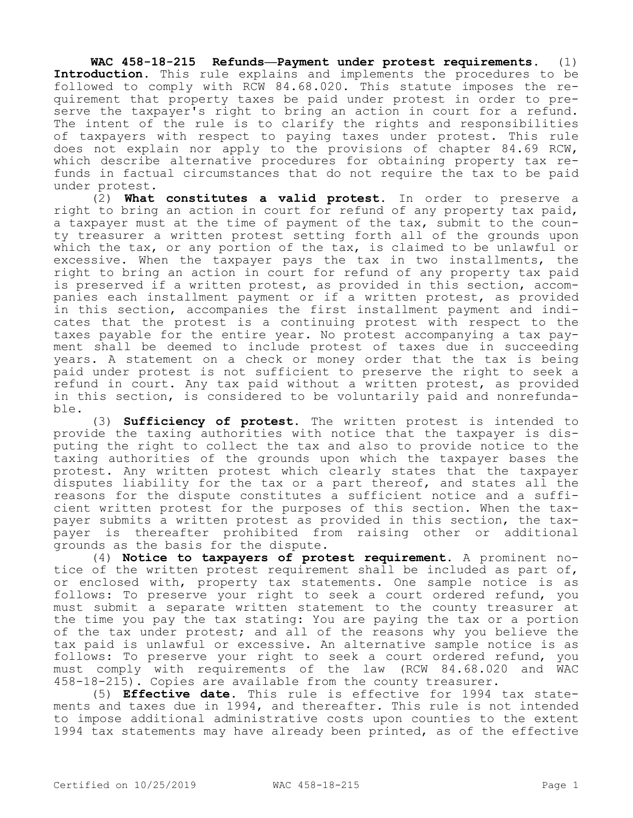**WAC 458-18-215 Refunds—Payment under protest requirements.** (1) **Introduction.** This rule explains and implements the procedures to be followed to comply with RCW 84.68.020. This statute imposes the requirement that property taxes be paid under protest in order to preserve the taxpayer's right to bring an action in court for a refund. The intent of the rule is to clarify the rights and responsibilities of taxpayers with respect to paying taxes under protest. This rule does not explain nor apply to the provisions of chapter 84.69 RCW, which describe alternative procedures for obtaining property tax refunds in factual circumstances that do not require the tax to be paid under protest.

(2) **What constitutes a valid protest.** In order to preserve a right to bring an action in court for refund of any property tax paid, a taxpayer must at the time of payment of the tax, submit to the county treasurer a written protest setting forth all of the grounds upon which the tax, or any portion of the tax, is claimed to be unlawful or excessive. When the taxpayer pays the tax in two installments, the right to bring an action in court for refund of any property tax paid is preserved if a written protest, as provided in this section, accompanies each installment payment or if a written protest, as provided in this section, accompanies the first installment payment and indicates that the protest is a continuing protest with respect to the taxes payable for the entire year. No protest accompanying a tax payment shall be deemed to include protest of taxes due in succeeding years. A statement on a check or money order that the tax is being paid under protest is not sufficient to preserve the right to seek a refund in court. Any tax paid without a written protest, as provided in this section, is considered to be voluntarily paid and nonrefundable.

(3) **Sufficiency of protest.** The written protest is intended to provide the taxing authorities with notice that the taxpayer is disputing the right to collect the tax and also to provide notice to the taxing authorities of the grounds upon which the taxpayer bases the protest. Any written protest which clearly states that the taxpayer disputes liability for the tax or a part thereof, and states all the reasons for the dispute constitutes a sufficient notice and a sufficient written protest for the purposes of this section. When the taxpayer submits a written protest as provided in this section, the taxpayer is thereafter prohibited from raising other or additional grounds as the basis for the dispute.

(4) **Notice to taxpayers of protest requirement.** A prominent notice of the written protest requirement shall be included as part of, or enclosed with, property tax statements. One sample notice is as follows: To preserve your right to seek a court ordered refund, you must submit a separate written statement to the county treasurer at the time you pay the tax stating: You are paying the tax or a portion of the tax under protest; and all of the reasons why you believe the tax paid is unlawful or excessive. An alternative sample notice is as follows: To preserve your right to seek a court ordered refund, you must comply with requirements of the law (RCW 84.68.020 and WAC 458-18-215). Copies are available from the county treasurer.

(5) **Effective date.** This rule is effective for 1994 tax statements and taxes due in 1994, and thereafter. This rule is not intended to impose additional administrative costs upon counties to the extent 1994 tax statements may have already been printed, as of the effective